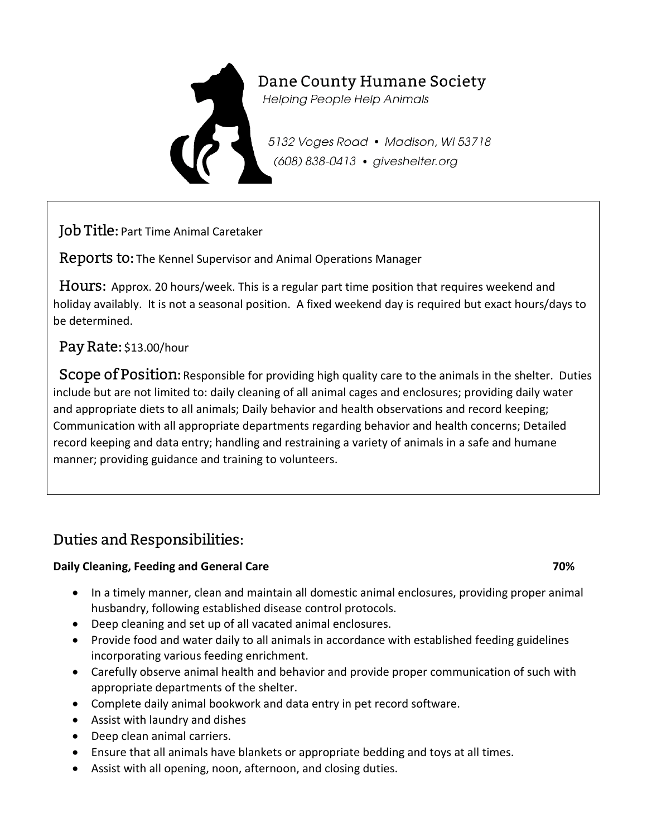

# Dane County Humane Society

**Helping People Help Animals** 

5132 Voges Road • Madison, WI 53718 (608) 838-0413 · giveshelter.org

Job Title: Part Time Animal Caretaker

Reports to: The Kennel Supervisor and Animal Operations Manager

 Hours: Approx. 20 hours/week. This is a regular part time position that requires weekend and holiday availably. It is not a seasonal position. A fixed weekend day is required but exact hours/days to be determined.

### Pay Rate: \$13.00/hour

Scope of Position: Responsible for providing high quality care to the animals in the shelter. Duties include but are not limited to: daily cleaning of all animal cages and enclosures; providing daily water and appropriate diets to all animals; Daily behavior and health observations and record keeping; Communication with all appropriate departments regarding behavior and health concerns; Detailed record keeping and data entry; handling and restraining a variety of animals in a safe and humane manner; providing guidance and training to volunteers.

# Duties and Responsibilities:

### **Daily Cleaning, Feeding and General Care 70%**  *Paily Cleaning, Feeding and General Care* **70%**

- In a timely manner, clean and maintain all domestic animal enclosures, providing proper animal husbandry, following established disease control protocols.
- Deep cleaning and set up of all vacated animal enclosures.
- Provide food and water daily to all animals in accordance with established feeding guidelines incorporating various feeding enrichment.
- Carefully observe animal health and behavior and provide proper communication of such with appropriate departments of the shelter.
- Complete daily animal bookwork and data entry in pet record software.
- Assist with laundry and dishes
- Deep clean animal carriers.
- Ensure that all animals have blankets or appropriate bedding and toys at all times.
- Assist with all opening, noon, afternoon, and closing duties.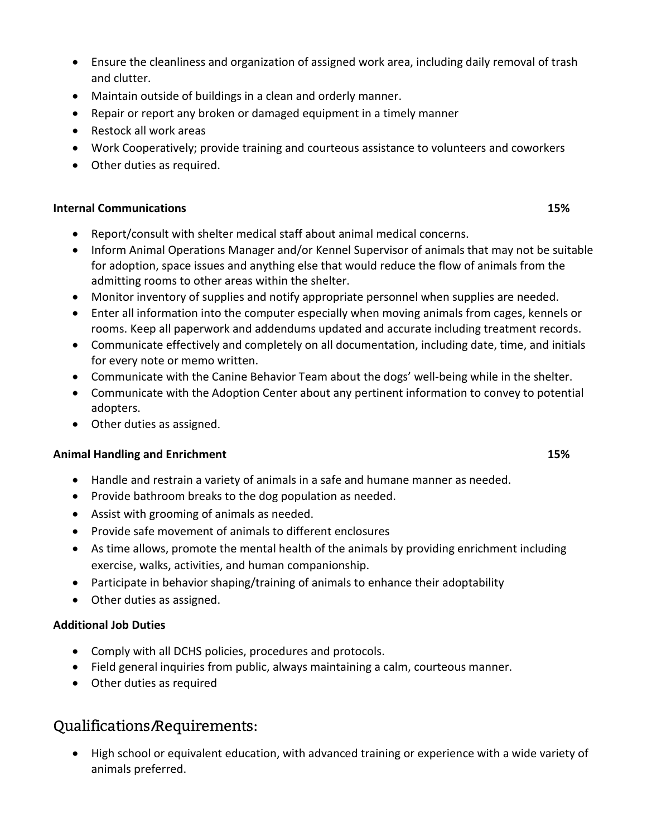- Ensure the cleanliness and organization of assigned work area, including daily removal of trash and clutter.
- Maintain outside of buildings in a clean and orderly manner.
- Repair or report any broken or damaged equipment in a timely manner
- Restock all work areas
- Work Cooperatively; provide training and courteous assistance to volunteers and coworkers
- Other duties as required.

#### **Internal Communications 15%**

- Report/consult with shelter medical staff about animal medical concerns.
- Inform Animal Operations Manager and/or Kennel Supervisor of animals that may not be suitable for adoption, space issues and anything else that would reduce the flow of animals from the admitting rooms to other areas within the shelter.
- Monitor inventory of supplies and notify appropriate personnel when supplies are needed.
- Enter all information into the computer especially when moving animals from cages, kennels or rooms. Keep all paperwork and addendums updated and accurate including treatment records.
- Communicate effectively and completely on all documentation, including date, time, and initials for every note or memo written.
- Communicate with the Canine Behavior Team about the dogs' well-being while in the shelter.
- Communicate with the Adoption Center about any pertinent information to convey to potential adopters.
- Other duties as assigned.

#### **Animal Handling and Enrichment 15%**

- Handle and restrain a variety of animals in a safe and humane manner as needed.
- Provide bathroom breaks to the dog population as needed.
- Assist with grooming of animals as needed.
- Provide safe movement of animals to different enclosures
- As time allows, promote the mental health of the animals by providing enrichment including exercise, walks, activities, and human companionship.
- Participate in behavior shaping/training of animals to enhance their adoptability
- Other duties as assigned.

#### **Additional Job Duties**

- Comply with all DCHS policies, procedures and protocols.
- Field general inquiries from public, always maintaining a calm, courteous manner.
- Other duties as required

### Qualifications/Requirements:

• High school or equivalent education, with advanced training or experience with a wide variety of animals preferred.